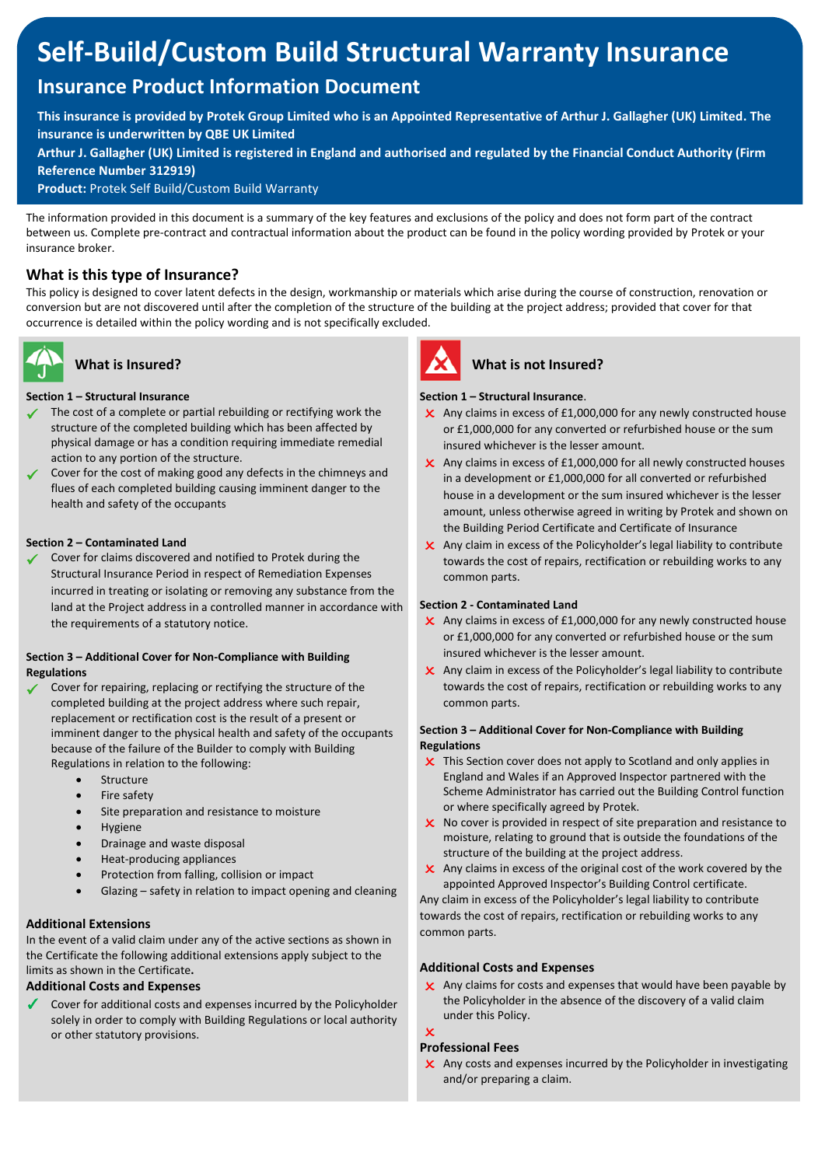# **Self-Build/Custom Build Structural Warranty Insurance**

## **Insurance Product Information Document**

**This insurance is provided by Protek Group Limited who is an Appointed Representative of Arthur J. Gallagher (UK) Limited. The insurance is underwritten by QBE UK Limited** 

**Arthur J. Gallagher (UK) Limited is registered in England and authorised and regulated by the Financial Conduct Authority (Firm Reference Number 312919)**

**Product:** Protek Self Build/Custom Build Warranty

The information provided in this document is a summary of the key features and exclusions of the policy and does not form part of the contract between us. Complete pre-contract and contractual information about the product can be found in the policy wording provided by Protek or your insurance broker.

### **What is this type of Insurance?**

This policy is designed to cover latent defects in the design, workmanship or materials which arise during the course of construction, renovation or conversion but are not discovered until after the completion of the structure of the building at the project address; provided that cover for that occurrence is detailed within the policy wording and is not specifically excluded.



### **What is Insured?**

### **Section 1 – Structural Insurance**<br>
Section 1 – Structural Insurance don't have any queries, please don't hesitate to contact us.

- ✓ The cost of a complete or partial rebuilding or rectifying work the structure of the completed building which has been affected by physical damage or has a condition requiring immediate remedial action to any portion of the structure.
- Cover for the cost of making good any defects in the chimneys and flues of each completed building causing imminent danger to the health and safety of the occupants

#### **Section 2 – Contaminated Land**

Cover for claims discovered and notified to Protek during the Structural Insurance Period in respect of Remediation Expenses incurred in treating or isolating or removing any substance from the land at the Project address in a controlled manner in accordance with the requirements of a statutory notice.

#### **Section 3 – Additional Cover for Non-Compliance with Building Regulations**

- Cover for repairing, replacing or rectifying the structure of the completed building at the project address where such repair, replacement or rectification cost is the result of a present or imminent danger to the physical health and safety of the occupants because of the failure of the Builder to comply with Building Regulations in relation to the following:
	- Structure
	- Fire safety
	- Site preparation and resistance to moisture
	- **Hygiene**
	- Drainage and waste disposal
	- Heat-producing appliances
	- Protection from falling, collision or impact
	- Glazing safety in relation to impact opening and cleaning

#### **Additional Extensions**

In the event of a valid claim under any of the active sections as shown in the Certificate the following additional extensions apply subject to the limits as shown in the Certificate**.**

#### **Additional Costs and Expenses**

 $\sqrt{\phantom{a}}$  Cover for additional costs and expenses incurred by the Policyholder solely in order to comply with Building Regulations or local authority or other statutory provisions.



#### **What is not Insured?**

#### **Section 1 – Structural Insurance**.

- Any claims in excess of £1,000,000 for any newly constructed house or £1,000,000 for any converted or refurbished house or the sum insured whichever is the lesser amount.
- X Any claims in excess of £1,000,000 for all newly constructed houses in a development or £1,000,000 for all converted or refurbished house in a development or the sum insured whichever is the lesser amount, unless otherwise agreed in writing by Protek and shown on the Building Period Certificate and Certificate of Insurance
- Any claim in excess of the Policyholder's legal liability to contribute towards the cost of repairs, rectification or rebuilding works to any common parts.

#### **Section 2 - Contaminated Land**

- X Any claims in excess of £1,000,000 for any newly constructed house or £1,000,000 for any converted or refurbished house or the sum insured whichever is the lesser amount.
- X Any claim in excess of the Policyholder's legal liability to contribute towards the cost of repairs, rectification or rebuilding works to any common parts.

#### **Section 3 – Additional Cover for Non-Compliance with Building Regulations**

- **x** This Section cover does not apply to Scotland and only applies in England and Wales if an Approved Inspector partnered with the Scheme Administrator has carried out the Building Control function or where specifically agreed by Protek.
- $\boldsymbol{\times}$  No cover is provided in respect of site preparation and resistance to moisture, relating to ground that is outside the foundations of the structure of the building at the project address.
- $\boldsymbol{\times}$  Any claims in excess of the original cost of the work covered by the appointed Approved Inspector's Building Control certificate.

 Any claim in excess of the Policyholder's legal liability to contribute towards the cost of repairs, rectification or rebuilding works to any common parts.

#### **Additional Costs and Expenses**

 $\boldsymbol{\times}$  Any claims for costs and expenses that would have been payable by the Policyholder in the absence of the discovery of a valid claim under this Policy.

#### $\mathbf v$ **Professional Fees**

ı

 $\overline{\mathsf{x}}$  Any costs and expenses incurred by the Policyholder in investigating and/or preparing a claim.